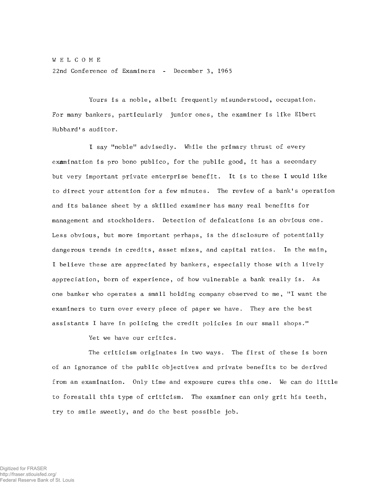WELCOME 22nd Conference of Examiners - December 3, 1965

Yours is a noble, albeit frequently misunderstood, occupation. For many bankers, particularly junior ones, the examiner is like Elbert Hubbard's auditor.

I say "noble" advisedly. While the primary thrust of every examination is pro bono publico, for the public good, it has a secondary but very important private enterprise benefit. It is to these I would like to direct your attention for a few minutes. The review of a bank's operation and its balance sheet by a skilled examiner has many real benefits for management and stockholders. Detection of defalcations is an obvious one. Less obvious, but more important perhaps, is the disclosure of potentially dangerous trends in credits, asset mixes, and capital ratios. In the main, I believe these are appreciated by bankers, especially those with a lively appreciation, born of experience, of how vulnerable a bank really is. As one banker who operates a small holding company observed to me, "I want the examiners to turn over every piece of paper we have. They are the best a ssistants I have in policing the credit policies in our small shops."

Yet we have our critics.

The criticism originates in two ways. The first of these is born of an ignorance of the public objectives and private benefits to be derived from an examination. Only time and exposure cures this one. We can do little to forestall this type of criticism. The examiner can only grit his teeth, try to smile sweetly, and do the best possible job.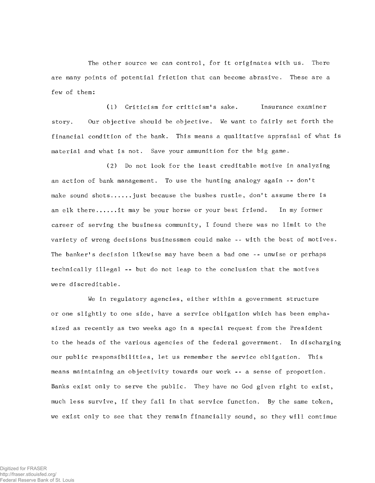The other source we can control, for it originates with us. There are many points of potential friction that can become abrasive. These are a few of them:

(1) Criticism for criticism's sake. Insurance examiner story. Our objective should be objective. We want to fairly set forth the financial condition of the bank. This means a qualitative appraisal of what is material and what is not. Save your ammunition for the big game.

(2) Do not look for the least creditable motive in analyzing an action of bank management. To use the hunting analogy again -- don't make sound shots...... just because the bushes rustle, don't assume there is an elk there......it may be your horse or your best friend. In my former career of serving the business community, I found there was no limit to the variety of wrong decisions businessmen could make -- with the best of motives. The banker's decision likewise may have been a bad one -- unwise or perhaps technically illegal ~~ but do not leap to the conclusion that the motives were discreditable.

We in regulatory agencies, either within a government structure or one slightly to one side, have a service obligation which has been emphasized as recently as two weeks ago in a special request from the President to the heads of the various agencies of the federal government. In discharging our public responsibilities, let us remember the service obligation. This means maintaining an objectivity towards our work -- a sense of proportion. Banks exist only to serve the public. They have no God given right to exist, much less survive, if they fail in that service function. By the same token, we exist only to see that they remain financially sound, so they will continue